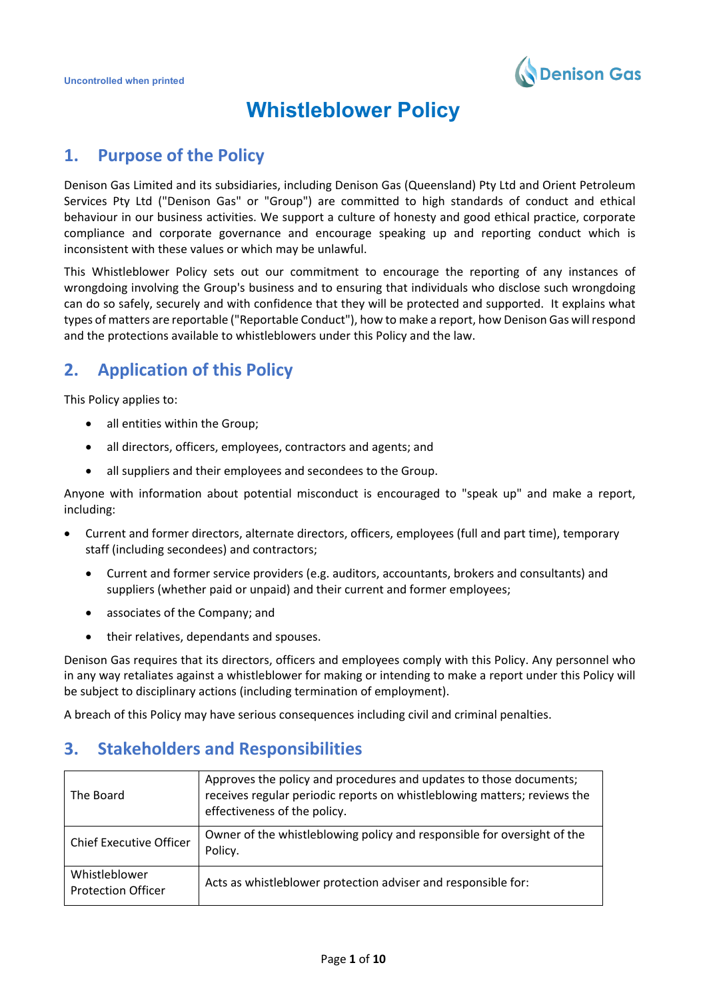

# **Whistleblower Policy**

## **1. Purpose of the Policy**

Denison Gas Limited and its subsidiaries, including Denison Gas (Queensland) Pty Ltd and Orient Petroleum Services Pty Ltd ("Denison Gas" or "Group") are committed to high standards of conduct and ethical behaviour in our business activities. We support a culture of honesty and good ethical practice, corporate compliance and corporate governance and encourage speaking up and reporting conduct which is inconsistent with these values or which may be unlawful.

This Whistleblower Policy sets out our commitment to encourage the reporting of any instances of wrongdoing involving the Group's business and to ensuring that individuals who disclose such wrongdoing can do so safely, securely and with confidence that they will be protected and supported. It explains what types of matters are reportable ("Reportable Conduct"), how to make a report, how Denison Gas will respond and the protections available to whistleblowers under this Policy and the law.

# **2. Application of this Policy**

This Policy applies to:

- all entities within the Group;
- all directors, officers, employees, contractors and agents; and
- all suppliers and their employees and secondees to the Group.

Anyone with information about potential misconduct is encouraged to "speak up" and make a report, including:

- Current and former directors, alternate directors, officers, employees (full and part time), temporary staff (including secondees) and contractors;
	- Current and former service providers (e.g. auditors, accountants, brokers and consultants) and suppliers (whether paid or unpaid) and their current and former employees;
	- associates of the Company; and
	- their relatives, dependants and spouses.

Denison Gas requires that its directors, officers and employees comply with this Policy. Any personnel who in any way retaliates against a whistleblower for making or intending to make a report under this Policy will be subject to disciplinary actions (including termination of employment).

A breach of this Policy may have serious consequences including civil and criminal penalties.

# **3. Stakeholders and Responsibilities**

| The Board                                  | Approves the policy and procedures and updates to those documents;<br>receives regular periodic reports on whistleblowing matters; reviews the<br>effectiveness of the policy. |
|--------------------------------------------|--------------------------------------------------------------------------------------------------------------------------------------------------------------------------------|
| <b>Chief Executive Officer</b>             | Owner of the whistleblowing policy and responsible for oversight of the<br>Policy.                                                                                             |
| Whistleblower<br><b>Protection Officer</b> | Acts as whistleblower protection adviser and responsible for:                                                                                                                  |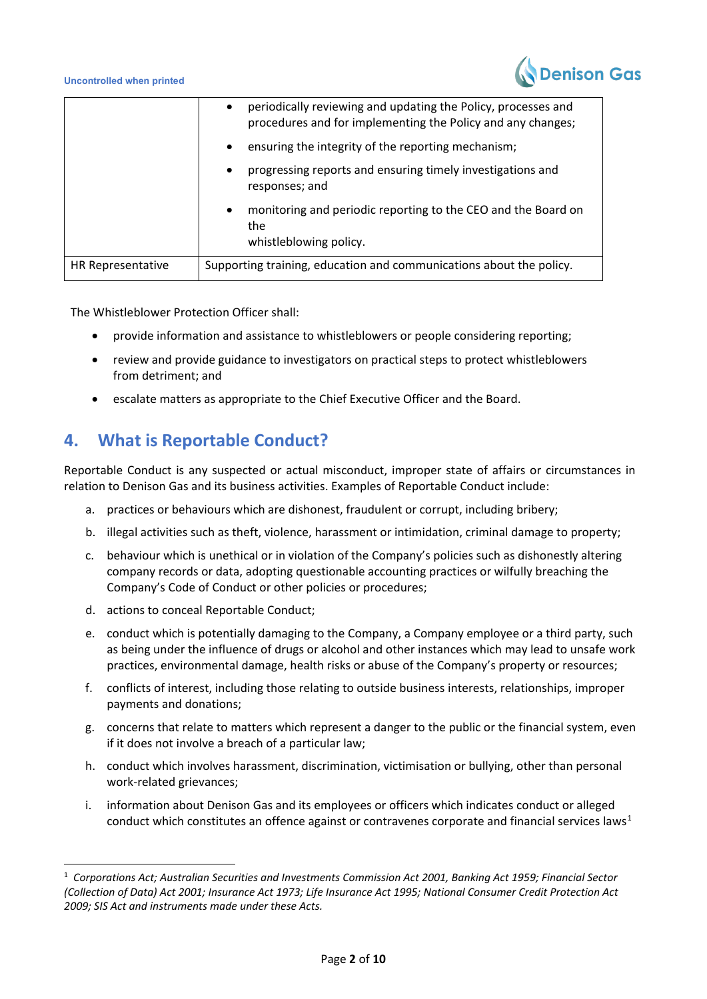

|                   | $\bullet$                                                           | periodically reviewing and updating the Policy, processes and<br>procedures and for implementing the Policy and any changes; |
|-------------------|---------------------------------------------------------------------|------------------------------------------------------------------------------------------------------------------------------|
|                   | $\bullet$                                                           | ensuring the integrity of the reporting mechanism;                                                                           |
|                   | $\bullet$                                                           | progressing reports and ensuring timely investigations and<br>responses; and                                                 |
|                   | $\bullet$                                                           | monitoring and periodic reporting to the CEO and the Board on<br>the<br>whistleblowing policy.                               |
| HR Representative | Supporting training, education and communications about the policy. |                                                                                                                              |

The Whistleblower Protection Officer shall:

- provide information and assistance to whistleblowers or people considering reporting;
- review and provide guidance to investigators on practical steps to protect whistleblowers from detriment; and
- escalate matters as appropriate to the Chief Executive Officer and the Board.

## **4. What is Reportable Conduct?**

Reportable Conduct is any suspected or actual misconduct, improper state of affairs or circumstances in relation to Denison Gas and its business activities. Examples of Reportable Conduct include:

- a. practices or behaviours which are dishonest, fraudulent or corrupt, including bribery;
- b. illegal activities such as theft, violence, harassment or intimidation, criminal damage to property;
- c. behaviour which is unethical or in violation of the Company's policies such as dishonestly altering company records or data, adopting questionable accounting practices or wilfully breaching the Company's Code of Conduct or other policies or procedures;
- d. actions to conceal Reportable Conduct;
- e. conduct which is potentially damaging to the Company, a Company employee or a third party, such as being under the influence of drugs or alcohol and other instances which may lead to unsafe work practices, environmental damage, health risks or abuse of the Company's property or resources;
- f. conflicts of interest, including those relating to outside business interests, relationships, improper payments and donations;
- g. concerns that relate to matters which represent a danger to the public or the financial system, even if it does not involve a breach of a particular law;
- h. conduct which involves harassment, discrimination, victimisation or bullying, other than personal work-related grievances;
- i. information about Denison Gas and its employees or officers which indicates conduct or alleged conduct which constitutes an offence against or contravenes corporate and financial services laws<sup>[1](#page-1-0)</sup>

<span id="page-1-0"></span><sup>1</sup> *Corporations Act; Australian Securities and Investments Commission Act 2001, Banking Act 1959; Financial Sector (Collection of Data) Act 2001; Insurance Act 1973; Life Insurance Act 1995; National Consumer Credit Protection Act 2009; SIS Act and instruments made under these Acts.*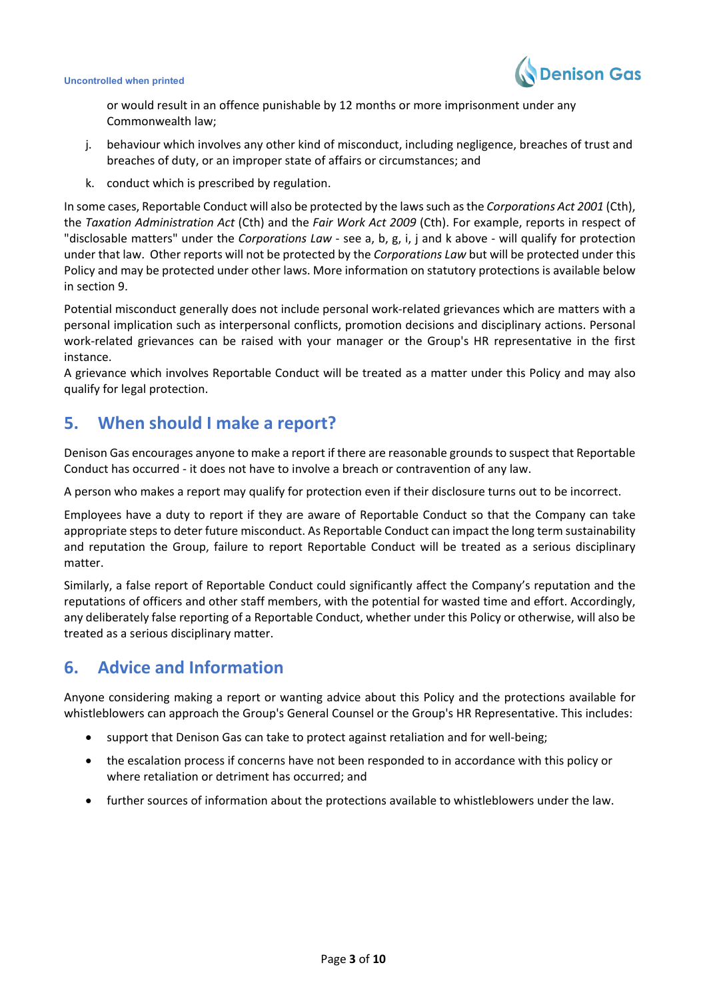

or would result in an offence punishable by 12 months or more imprisonment under any Commonwealth law;

- j. behaviour which involves any other kind of misconduct, including negligence, breaches of trust and breaches of duty, or an improper state of affairs or circumstances; and
- k. conduct which is prescribed by regulation.

In some cases, Reportable Conduct will also be protected by the laws such as the *Corporations Act 2001* (Cth), the *Taxation Administration Act* (Cth) and the *Fair Work Act 2009* (Cth). For example, reports in respect of "disclosable matters" under the *Corporations Law* - see a, b, g, i, j and k above - will qualify for protection under that law. Other reports will not be protected by the *Corporations Law* but will be protected under this Policy and may be protected under other laws. More information on statutory protections is available below in section 9.

Potential misconduct generally does not include personal work-related grievances which are matters with a personal implication such as interpersonal conflicts, promotion decisions and disciplinary actions. Personal work-related grievances can be raised with your manager or the Group's HR representative in the first instance.

A grievance which involves Reportable Conduct will be treated as a matter under this Policy and may also qualify for legal protection.

## **5. When should I make a report?**

Denison Gas encourages anyone to make a report if there are reasonable grounds to suspect that Reportable Conduct has occurred - it does not have to involve a breach or contravention of any law.

A person who makes a report may qualify for protection even if their disclosure turns out to be incorrect.

Employees have a duty to report if they are aware of Reportable Conduct so that the Company can take appropriate steps to deter future misconduct. As Reportable Conduct can impact the long term sustainability and reputation the Group, failure to report Reportable Conduct will be treated as a serious disciplinary matter.

Similarly, a false report of Reportable Conduct could significantly affect the Company's reputation and the reputations of officers and other staff members, with the potential for wasted time and effort. Accordingly, any deliberately false reporting of a Reportable Conduct, whether under this Policy or otherwise, will also be treated as a serious disciplinary matter.

# **6. Advice and Information**

Anyone considering making a report or wanting advice about this Policy and the protections available for whistleblowers can approach the Group's General Counsel or the Group's HR Representative. This includes:

- support that Denison Gas can take to protect against retaliation and for well-being;
- the escalation process if concerns have not been responded to in accordance with this policy or where retaliation or detriment has occurred; and
- further sources of information about the protections available to whistleblowers under the law.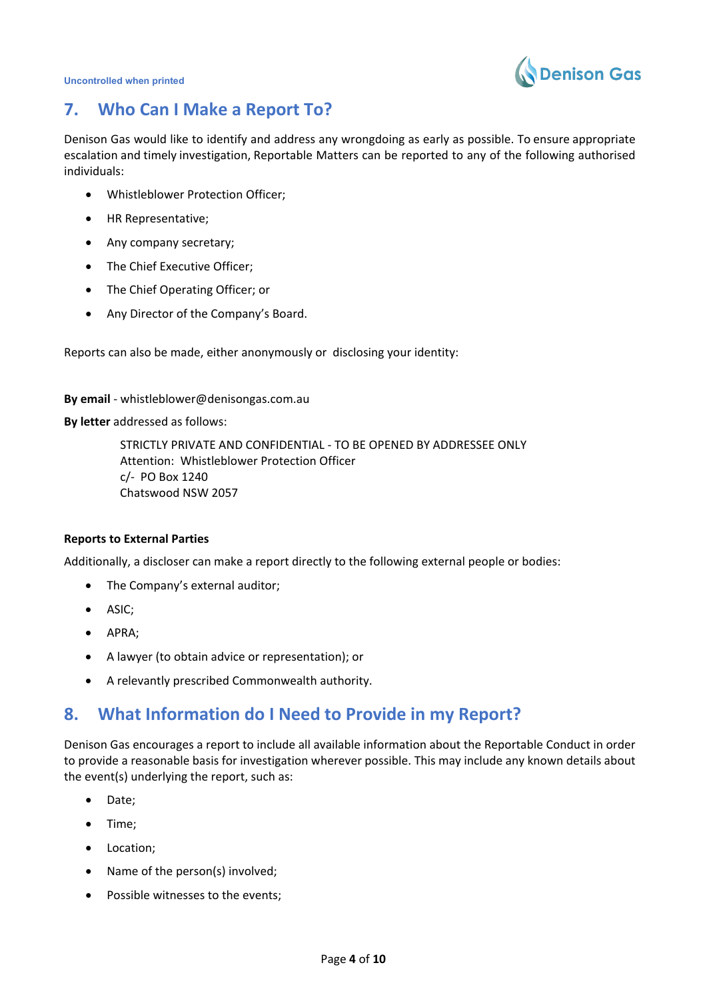

# **7. Who Can I Make a Report To?**

Denison Gas would like to identify and address any wrongdoing as early as possible. To ensure appropriate escalation and timely investigation, Reportable Matters can be reported to any of the following authorised individuals:

- Whistleblower Protection Officer;
- HR Representative;
- Any company secretary;
- The Chief Executive Officer;
- The Chief Operating Officer; or
- Any Director of the Company's Board.

Reports can also be made, either anonymously or disclosing your identity:

**By email** - whistleblower@denisongas.com.au

**By letter** addressed as follows:

 STRICTLY PRIVATE AND CONFIDENTIAL - TO BE OPENED BY ADDRESSEE ONLY Attention: Whistleblower Protection Officer c/- PO Box 1240 Chatswood NSW 2057

#### **Reports to External Parties**

Additionally, a discloser can make a report directly to the following external people or bodies:

- The Company's external auditor;
- ASIC;
- APRA;
- A lawyer (to obtain advice or representation); or
- A relevantly prescribed Commonwealth authority.

### **8. What Information do I Need to Provide in my Report?**

Denison Gas encourages a report to include all available information about the Reportable Conduct in order to provide a reasonable basis for investigation wherever possible. This may include any known details about the event(s) underlying the report, such as:

- Date;
- Time;
- Location;
- Name of the person(s) involved;
- Possible witnesses to the events;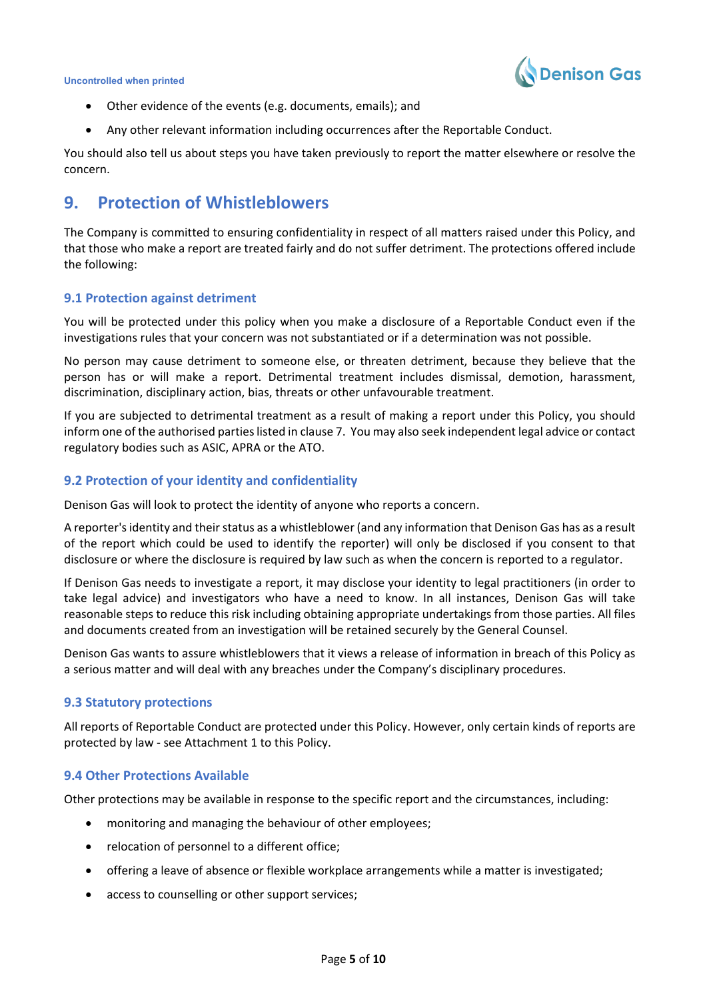

- Other evidence of the events (e.g. documents, emails); and
- Any other relevant information including occurrences after the Reportable Conduct.

You should also tell us about steps you have taken previously to report the matter elsewhere or resolve the concern.

### **9. Protection of Whistleblowers**

The Company is committed to ensuring confidentiality in respect of all matters raised under this Policy, and that those who make a report are treated fairly and do not suffer detriment. The protections offered include the following:

#### **9.1 Protection against detriment**

You will be protected under this policy when you make a disclosure of a Reportable Conduct even if the investigations rules that your concern was not substantiated or if a determination was not possible.

No person may cause detriment to someone else, or threaten detriment, because they believe that the person has or will make a report. Detrimental treatment includes dismissal, demotion, harassment, discrimination, disciplinary action, bias, threats or other unfavourable treatment.

If you are subjected to detrimental treatment as a result of making a report under this Policy, you should inform one of the authorised parties listed in clause 7. You may also seek independent legal advice or contact regulatory bodies such as ASIC, APRA or the ATO.

#### **9.2 Protection of your identity and confidentiality**

Denison Gas will look to protect the identity of anyone who reports a concern.

A reporter's identity and their status as a whistleblower (and any information that Denison Gas has as a result of the report which could be used to identify the reporter) will only be disclosed if you consent to that disclosure or where the disclosure is required by law such as when the concern is reported to a regulator.

If Denison Gas needs to investigate a report, it may disclose your identity to legal practitioners (in order to take legal advice) and investigators who have a need to know. In all instances, Denison Gas will take reasonable steps to reduce this risk including obtaining appropriate undertakings from those parties. All files and documents created from an investigation will be retained securely by the General Counsel.

Denison Gas wants to assure whistleblowers that it views a release of information in breach of this Policy as a serious matter and will deal with any breaches under the Company's disciplinary procedures.

#### **9.3 Statutory protections**

All reports of Reportable Conduct are protected under this Policy. However, only certain kinds of reports are protected by law - see Attachment 1 to this Policy.

#### **9.4 Other Protections Available**

Other protections may be available in response to the specific report and the circumstances, including:

- monitoring and managing the behaviour of other employees;
- relocation of personnel to a different office;
- offering a leave of absence or flexible workplace arrangements while a matter is investigated;
- access to counselling or other support services;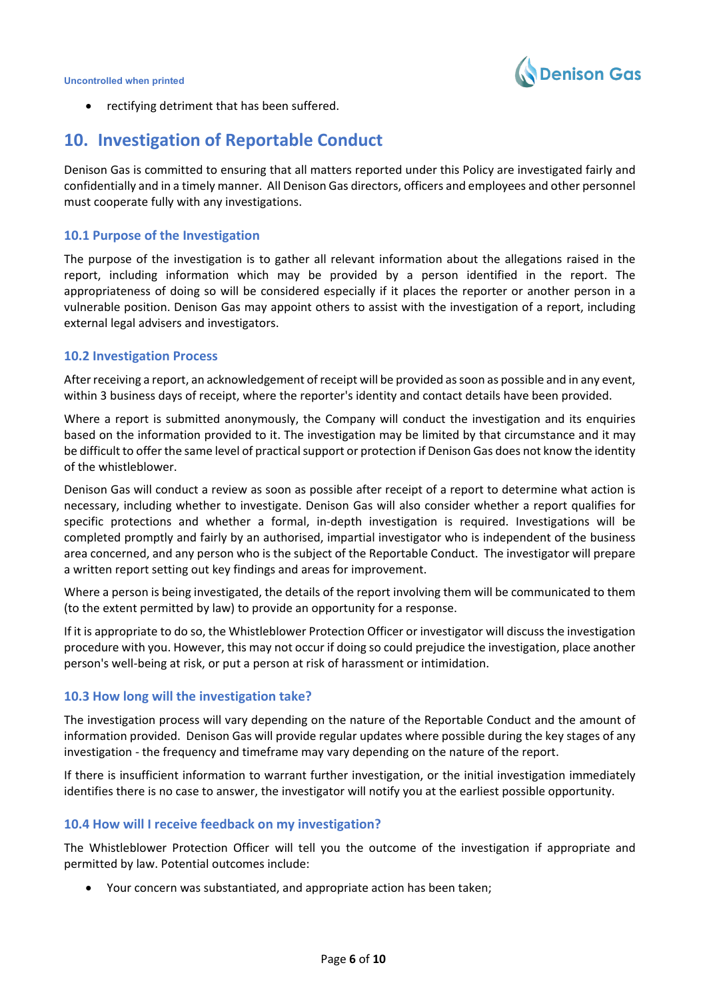

rectifying detriment that has been suffered.

### **10. Investigation of Reportable Conduct**

Denison Gas is committed to ensuring that all matters reported under this Policy are investigated fairly and confidentially and in a timely manner. All Denison Gas directors, officers and employees and other personnel must cooperate fully with any investigations.

#### **10.1 Purpose of the Investigation**

The purpose of the investigation is to gather all relevant information about the allegations raised in the report, including information which may be provided by a person identified in the report. The appropriateness of doing so will be considered especially if it places the reporter or another person in a vulnerable position. Denison Gas may appoint others to assist with the investigation of a report, including external legal advisers and investigators.

#### **10.2 Investigation Process**

After receiving a report, an acknowledgement of receipt will be provided as soon as possible and in any event, within 3 business days of receipt, where the reporter's identity and contact details have been provided.

Where a report is submitted anonymously, the Company will conduct the investigation and its enquiries based on the information provided to it. The investigation may be limited by that circumstance and it may be difficult to offer the same level of practical support or protection if Denison Gas does not know the identity of the whistleblower.

Denison Gas will conduct a review as soon as possible after receipt of a report to determine what action is necessary, including whether to investigate. Denison Gas will also consider whether a report qualifies for specific protections and whether a formal, in-depth investigation is required. Investigations will be completed promptly and fairly by an authorised, impartial investigator who is independent of the business area concerned, and any person who is the subject of the Reportable Conduct. The investigator will prepare a written report setting out key findings and areas for improvement.

Where a person is being investigated, the details of the report involving them will be communicated to them (to the extent permitted by law) to provide an opportunity for a response.

If it is appropriate to do so, the Whistleblower Protection Officer or investigator will discuss the investigation procedure with you. However, this may not occur if doing so could prejudice the investigation, place another person's well-being at risk, or put a person at risk of harassment or intimidation.

#### **10.3 How long will the investigation take?**

The investigation process will vary depending on the nature of the Reportable Conduct and the amount of information provided. Denison Gas will provide regular updates where possible during the key stages of any investigation - the frequency and timeframe may vary depending on the nature of the report.

If there is insufficient information to warrant further investigation, or the initial investigation immediately identifies there is no case to answer, the investigator will notify you at the earliest possible opportunity.

#### **10.4 How will I receive feedback on my investigation?**

The Whistleblower Protection Officer will tell you the outcome of the investigation if appropriate and permitted by law. Potential outcomes include:

• Your concern was substantiated, and appropriate action has been taken;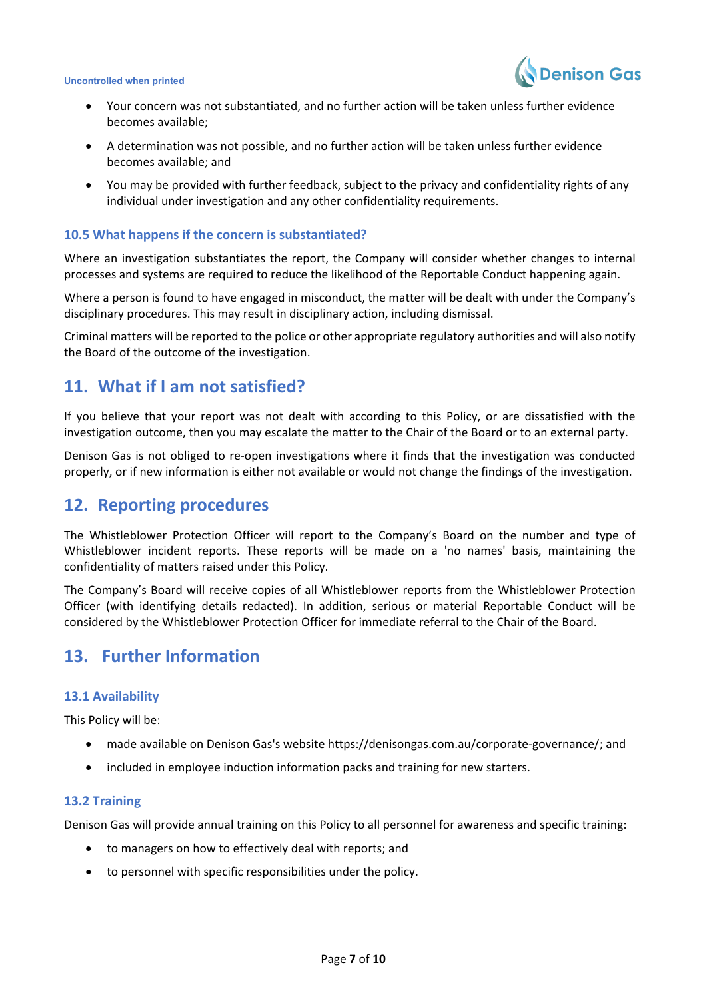

- Your concern was not substantiated, and no further action will be taken unless further evidence becomes available;
- A determination was not possible, and no further action will be taken unless further evidence becomes available; and
- You may be provided with further feedback, subject to the privacy and confidentiality rights of any individual under investigation and any other confidentiality requirements.

#### **10.5 What happens if the concern is substantiated?**

Where an investigation substantiates the report, the Company will consider whether changes to internal processes and systems are required to reduce the likelihood of the Reportable Conduct happening again.

Where a person is found to have engaged in misconduct, the matter will be dealt with under the Company's disciplinary procedures. This may result in disciplinary action, including dismissal.

Criminal matters will be reported to the police or other appropriate regulatory authorities and will also notify the Board of the outcome of the investigation.

### **11. What if I am not satisfied?**

If you believe that your report was not dealt with according to this Policy, or are dissatisfied with the investigation outcome, then you may escalate the matter to the Chair of the Board or to an external party.

Denison Gas is not obliged to re-open investigations where it finds that the investigation was conducted properly, or if new information is either not available or would not change the findings of the investigation.

### **12. Reporting procedures**

The Whistleblower Protection Officer will report to the Company's Board on the number and type of Whistleblower incident reports. These reports will be made on a 'no names' basis, maintaining the confidentiality of matters raised under this Policy.

The Company's Board will receive copies of all Whistleblower reports from the Whistleblower Protection Officer (with identifying details redacted). In addition, serious or material Reportable Conduct will be considered by the Whistleblower Protection Officer for immediate referral to the Chair of the Board.

### **13. Further Information**

#### **13.1 Availability**

This Policy will be:

- made available on Denison Gas's website https://denisongas.com.au/corporate-governance/; and
- included in employee induction information packs and training for new starters.

#### **13.2 Training**

Denison Gas will provide annual training on this Policy to all personnel for awareness and specific training:

- to managers on how to effectively deal with reports; and
- to personnel with specific responsibilities under the policy.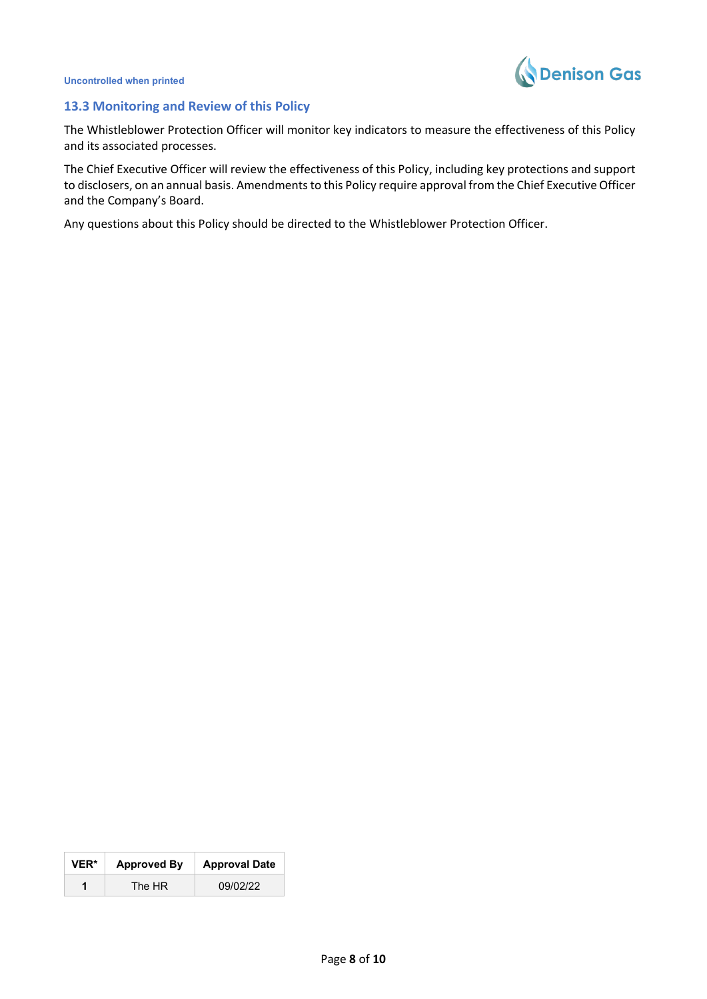



#### **13.3 Monitoring and Review of this Policy**

The Whistleblower Protection Officer will monitor key indicators to measure the effectiveness of this Policy and its associated processes.

The Chief Executive Officer will review the effectiveness of this Policy, including key protections and support to disclosers, on an annual basis. Amendments to this Policy require approval from the Chief Executive Officer and the Company's Board.

Any questions about this Policy should be directed to the Whistleblower Protection Officer.

| <b>VER*</b> | <b>Approved By</b> | <b>Approval Date</b> |
|-------------|--------------------|----------------------|
| 1           | The HR             | 09/02/22             |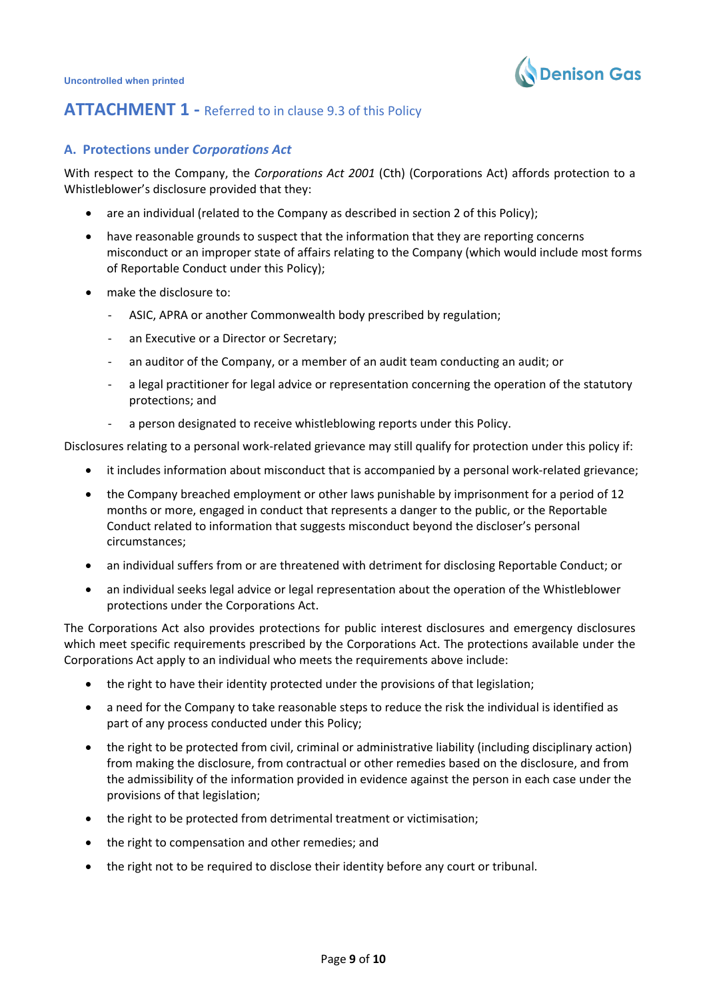

### **ATTACHMENT 1 - Referred to in clause 9.3 of this Policy**

#### **A. Protections under** *Corporations Act*

With respect to the Company, the *Corporations Act 2001* (Cth) (Corporations Act) affords protection to a Whistleblower's disclosure provided that they:

- are an individual (related to the Company as described in section 2 of this Policy);
- have reasonable grounds to suspect that the information that they are reporting concerns misconduct or an improper state of affairs relating to the Company (which would include most forms of Reportable Conduct under this Policy);
- make the disclosure to:
	- ASIC, APRA or another Commonwealth body prescribed by regulation;
	- an Executive or a Director or Secretary;
	- an auditor of the Company, or a member of an audit team conducting an audit; or
	- a legal practitioner for legal advice or representation concerning the operation of the statutory protections; and
	- a person designated to receive whistleblowing reports under this Policy.

Disclosures relating to a personal work-related grievance may still qualify for protection under this policy if:

- it includes information about misconduct that is accompanied by a personal work-related grievance;
- the Company breached employment or other laws punishable by imprisonment for a period of 12 months or more, engaged in conduct that represents a danger to the public, or the Reportable Conduct related to information that suggests misconduct beyond the discloser's personal circumstances;
- an individual suffers from or are threatened with detriment for disclosing Reportable Conduct; or
- an individual seeks legal advice or legal representation about the operation of the Whistleblower protections under the Corporations Act.

The Corporations Act also provides protections for public interest disclosures and emergency disclosures which meet specific requirements prescribed by the Corporations Act. The protections available under the Corporations Act apply to an individual who meets the requirements above include:

- the right to have their identity protected under the provisions of that legislation;
- a need for the Company to take reasonable steps to reduce the risk the individual is identified as part of any process conducted under this Policy;
- the right to be protected from civil, criminal or administrative liability (including disciplinary action) from making the disclosure, from contractual or other remedies based on the disclosure, and from the admissibility of the information provided in evidence against the person in each case under the provisions of that legislation;
- the right to be protected from detrimental treatment or victimisation;
- the right to compensation and other remedies; and
- the right not to be required to disclose their identity before any court or tribunal.